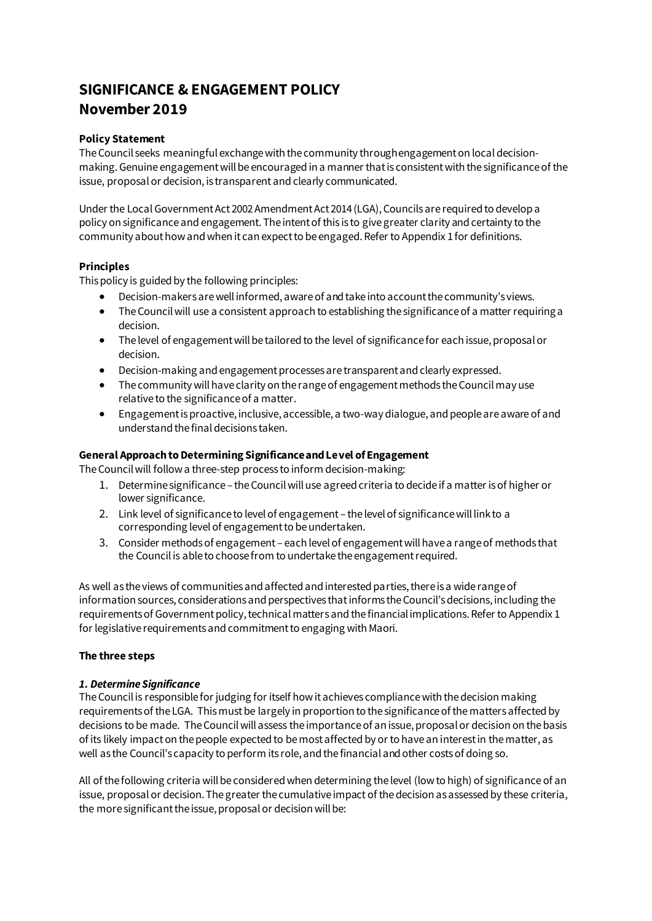# **SIGNIFICANCE & ENGAGEMENT POLICY November 2019**

# **Policy Statement**

The Council seeks meaningful exchangewith the community through engagement on local decisionmaking. Genuine engagement will be encouraged in a manner that is consistent with the significance of the issue, proposal or decision, is transparent and clearly communicated.

Under the Local Government Act 2002 Amendment Act 2014 (LGA), Councils are required to develop a policy on significance and engagement. The intent of this is to give greater clarity and certainty to the community about how and when it can expect to be engaged. Refer to Appendix 1for definitions.

# **Principles**

This policy is guided by the following principles:

- Decision-makers are well informed, aware of and take into account the community's views.
- The Council will use a consistent approach to establishing the significance of a matter requiring a decision.
- The level of engagement will be tailored to the level of significance for each issue, proposal or decision.
- Decision-making and engagement processes are transparent and clearly expressed.
- The community will have clarity on the range of engagement methods the Council may use relative to the significance of a matter.
- Engagement is proactive, inclusive, accessible, a two-way dialogue, and people are aware of and understand the final decisions taken.

# **General Approach to Determining Significance and Level of Engagement**

The Council will follow a three-step process to inform decision-making:

- 1. Determine significance the Council will use agreed criteria to decide if a matter is of higher or lower significance.
- 2. Link level of significance to level of engagement the level of significance will link to a corresponding level of engagement to be undertaken.
- 3. Consider methods of engagement each level of engagement will have a range of methods that the Council is able to choose from to undertake the engagement required.

As well as the views of communities and affected and interested parties, there is a wide range of information sources, considerations and perspectives that informs the Council's decisions, including the requirements of Government policy, technical matters and the financial implications. Refer to Appendix 1 for legislative requirements and commitment to engaging with Maori.

#### **The three steps**

#### *1. Determine Significance*

The Council is responsible for judging for itself how it achieves compliance with the decision making requirements of the LGA. This must be largely in proportion to the significance of the matters affected by decisions to be made. The Council will assess the importance of an issue, proposal or decision on the basis of its likely impact on the people expected to be most affected by or to have an interest in the matter, as well as the Council's capacity to perform its role, and the financial and other costs of doing so.

All of the following criteria will be considered when determining the level (low to high) of significance of an issue, proposal or decision. The greater the cumulative impact of the decision as assessed by these criteria, the more significant the issue, proposal or decision will be: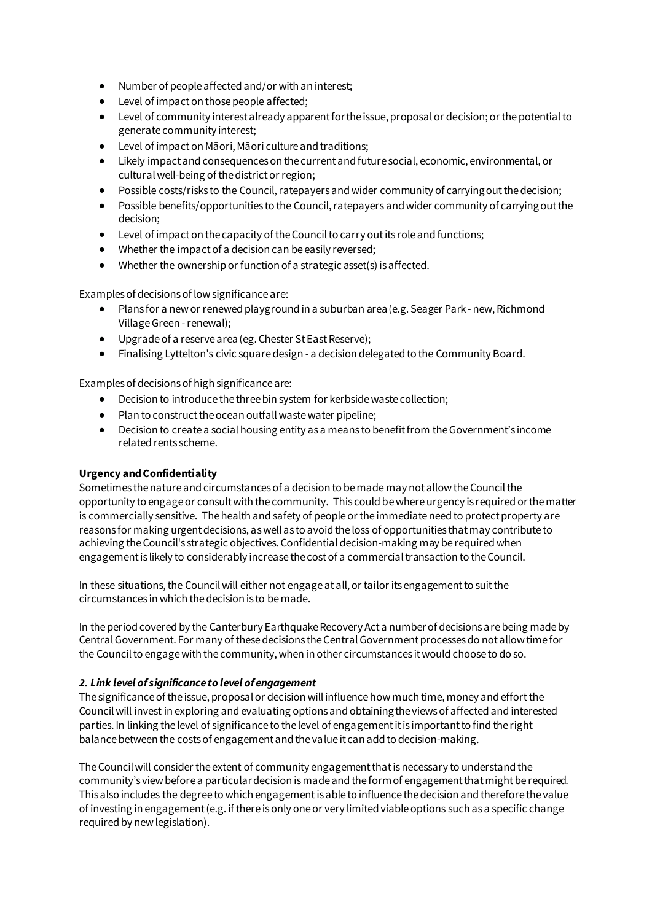- Number of people affected and/or with an interest;
- Level of impact on those people affected;
- Level of community interest already apparent for the issue, proposal or decision; or the potential to generate community interest;
- Level of impact on Māori, Māori culture and traditions;
- Likely impact and consequences on the current and future social, economic, environmental, or cultural well-being of the district or region;
- Possible costs/risks to the Council, ratepayers and wider community of carrying out the decision;
- Possible benefits/opportunities to the Council, ratepayers and wider community of carrying out the decision;
- Level of impact on the capacity of the Council to carry out its role and functions;
- Whether the impact of a decision can be easily reversed;
- Whether the ownership or function of a strategic asset(s) is affected.

Examples of decisions of low significance are:

- Plans for a new or renewed playground in a suburban area (e.g. Seager Park new, Richmond Village Green -renewal);
- Upgrade of a reserve area (eg. Chester St East Reserve);
- Finalising Lyttelton's civic square design a decision delegated to the Community Board.

Examples of decisions of high significance are:

- Decision to introduce the three bin system for kerbside waste collection;
- Plan to construct the ocean outfall waste water pipeline;
- Decision to create a social housing entity as a means to benefit from the Government's income related rents scheme.

#### **Urgency and Confidentiality**

Sometimes the nature and circumstances of a decision to be made may not allow the Council the opportunity to engage or consult with the community. This could be where urgency is required or the matter is commercially sensitive. The health and safety of people or the immediate need to protect property are reasons for making urgent decisions, as well as to avoid the loss of opportunities that may contribute to achieving the Council's strategic objectives. Confidential decision-making may be required when engagement is likely to considerably increase the cost of a commercial transaction to the Council.

In these situations,the Council will either not engage at all, or tailor its engagement to suit the circumstances in which the decision is to be made.

In the period covered by the Canterbury Earthquake Recovery Act a number of decisions are being made by Central Government. For many of these decisions the Central Government processes do not allow time for the Council to engage with the community, when in other circumstances it would choose to do so.

#### *2. Link level of significance to level of engagement*

The significance of the issue, proposal or decision will influence how much time, money and effort the Council will invest in exploring and evaluating options and obtaining the views of affected and interested parties. In linking the level of significance to the level of engagement it is important to find the right balance between the costs of engagement and the value it can add to decision-making.

The Council will consider the extent of community engagement that is necessary to understand the community's view before a particular decision is made and the form of engagement that might be required. This also includes the degree to which engagement is able to influence the decision and therefore the value of investing in engagement (e.g. if there is only one or very limited viable options such as a specific change required by new legislation).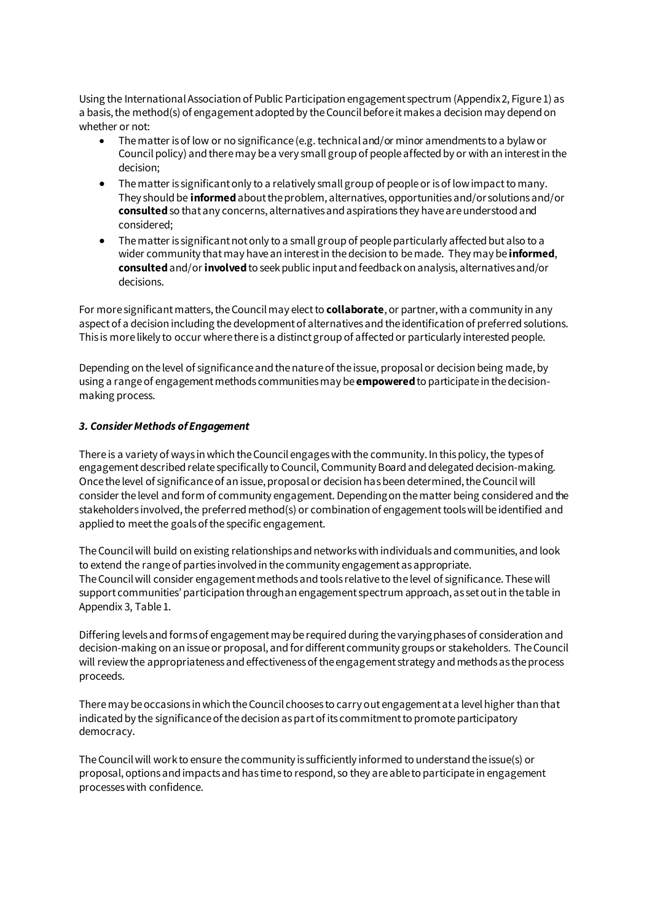Using the International Association of Public Participation engagement spectrum (Appendix 2, Figure 1) as a basis, the method(s) of engagement adopted by the Council before it makes a decision may depend on whether or not:

- The matter is of low or no significance (e.g. technical and/or minor amendments to a bylaw or Council policy) and there may be a very small group of people affected by or with an interest in the decision;
- The matter is significant only to a relatively small group of people or is of low impactto many. They should be **informed**about the problem, alternatives, opportunities and/or solutions and/or **consulted**so that any concerns, alternatives and aspirations they have are understood and considered;
- The matter is significant not only to a small group of people particularly affected but also to a wider community that may have an interest in the decision to bemade. They may be **informed**, **consulted**and/or **involved**to seek public input and feedback on analysis, alternatives and/or decisions.

For more significant matters, the Council may elect to **collaborate**, or partner, with a community in any aspect of a decision including the development of alternatives and the identification of preferred solutions. This is more likely to occur where there is a distinct group of affected or particularly interested people.

Depending on the level of significance and the nature of the issue, proposal or decision being made, by using a range of engagement methods communities may be **empowered** to participate in the decisionmaking process.

#### *3. Consider Methods of Engagement*

There is a variety of ways in which the Council engages with the community. In this policy, the types of engagement described relate specifically to Council, Community Board and delegated decision-making. Once the level of significance of an issue, proposal or decision has been determined, the Council will consider the level and form of community engagement. Depending on the matter being considered and the stakeholders involved, the preferred method(s) or combination of engagement tools will be identified and applied to meet the goals of the specific engagement.

The Council will build on existing relationships and networks with individuals and communities, and look to extend the range of parties involved in the community engagement as appropriate. The Council will consider engagement methods and tools relative to the level of significance. These will support communities' participation through an engagement spectrum approach, as set out in the table in Appendix 3, Table 1.

Differing levels and forms of engagement may be required during the varying phases of consideration and decision-making on an issue or proposal, and for different community groups or stakeholders. The Council will review the appropriateness and effectiveness of the engagement strategy and methods as the process proceeds.

There may be occasions in which the Council chooses to carry out engagement at a level higher than that indicated by the significance of the decision as part of its commitment to promote participatory democracy.

The Council will work to ensure the community is sufficiently informed to understand the issue(s) or proposal, options and impacts and has time to respond, so they are able to participate in engagement processes with confidence.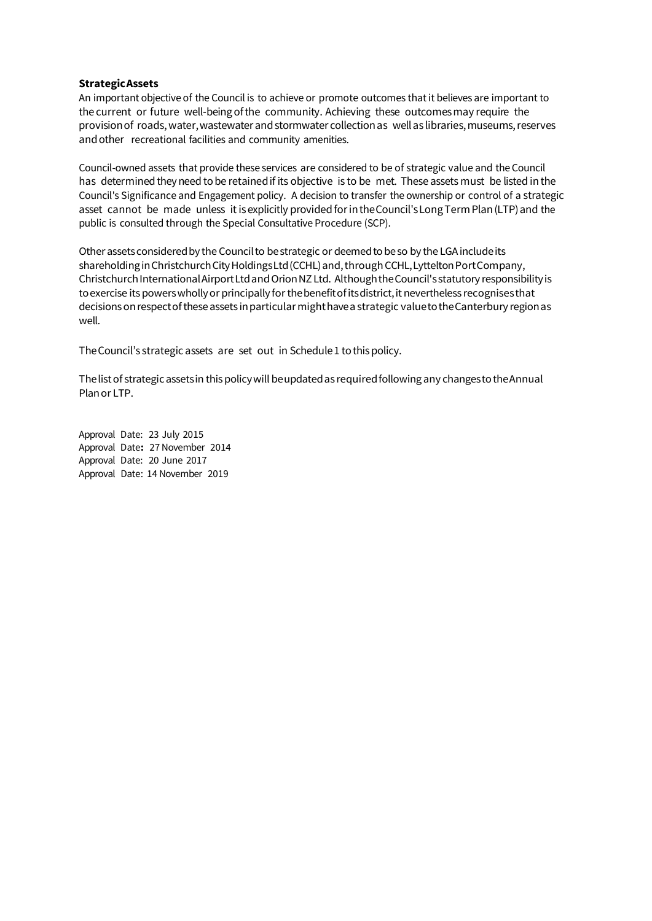#### **StrategicAssets**

An important objective of the Council is to achieve or promote outcomes thatit believes are important to the current or future well-beingofthe community. Achieving these outcomesmay require the provision of roads, water, wastewater and stormwater collection as well as libraries, museums, reserves andother recreational facilities and community amenities.

Council-owned assets that provide these services are considered to be of strategic value and the Council has determined they need to be retained if its objective is to be met. These assets must be listed in the Council's Significance and Engagement policy. A decision to transfer the ownership or control of a strategic asset cannot be made unless it is explicitly provided for in the Council's Long Term Plan (LTP) and the public is consulted through the Special Consultative Procedure (SCP).

Other assetsconsideredby the Councilto bestrategic or deemedtobeso by the LGAincludeits shareholding in Christchurch City Holdings Ltd (CCHL) and, through CCHL, Lyttelton Port Company, Christchurch International Airport Ltd and Orion NZ Ltd. Although the Council's statutory responsibility is to exercise its powers wholly or principally for the benefit of its district, it nevertheless recognises that decisions on respect of these assets in particular might have a strategic value to the Canterbury region as well.

TheCouncil's strategic assets are set out in Schedule1 tothispolicy.

Thelistof strategicassetsin thispolicywill beupdatedas requiredfollowing any changestotheAnnual Planor LTP.

Approval Date: 23 July 2015 Approval Date**:** 27November 2014 Approval Date: 20 June 2017 Approval Date: 14 November 2019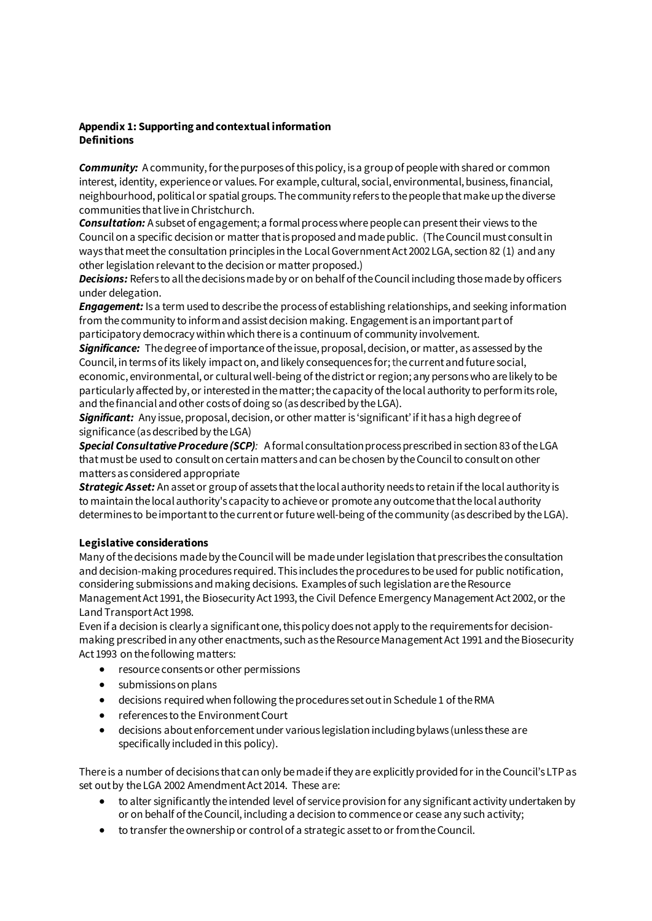#### **Appendix 1: Supporting and contextual information Definitions**

*Community:* A community, forthe purposes of this policy, is a group of peoplewith shared or common interest, identity, experience or values. For example, cultural, social, environmental, business, financial, neighbourhood, political or spatial groups. The community refers to the people that make up the diverse communities that live in Christchurch.

*Consultation:* A subset of engagement; a formal process where people can present their views to the Council on a specific decision or matter that is proposed and made public. (The Council must consult in ways that meet the consultation principles in the Local Government Act 2002 LGA, section 82 (1) and any other legislation relevant to the decision or matter proposed.)

*Decisions:* Refers to all the decisions made by or on behalf of the Council including thosemade by officers under delegation.

*Engagement:* Is a term used to describe the process of establishing relationships, and seeking information from the community to inform and assist decision making. Engagement is an important part of participatory democracy within which there is a continuum of community involvement.

*Significance:* The degreeof importance of the issue, proposal, decision, or matter, as assessed by the Council, in terms of its likely impact on, and likely consequences for;the current and future social, economic, environmental, or cultural well-being of the district or region; any persons who are likely to be particularly affected by, or interested in thematter; the capacity of the local authority to performits role, and the financial and other costs of doing so (as described by the LGA).

*Significant:* Any issue, proposal, decision, or other matter is 'significant' if it has a high degree of significance (as described by the LGA)

*Special Consultative Procedure (SCP):* A formal consultation process prescribed in section 83of the LGA that must be used to consult on certain matters and can be chosen by the Council to consult on other matters as considered appropriate

*Strategic Asset:* An asset or group of assets that the local authority needs to retain if the local authority is to maintain the local authority's capacity to achieve or promote any outcome that the local authority determines to be important to the current or future well-being of the community (as described by the LGA).

# **Legislative considerations**

Many of the decisions made by the Council will be made under legislation that prescribes the consultation and decision-making procedures required. This includes the procedures to be used for public notification, considering submissions and making decisions. Examples of such legislation are the Resource Management Act 1991, the Biosecurity Act 1993, the Civil Defence Emergency Management Act 2002, or the Land Transport Act 1998.

Even if a decision is clearly a significant one, this policy does not apply to the requirements for decisionmaking prescribed in any other enactments, such as the Resource Management Act 1991 and the Biosecurity Act 1993 on the following matters:

- resource consents or other permissions
- submissions on plans
- decisions required when following the procedures set out in Schedule 1 of the RMA
- references to the Environment Court
- decisions about enforcement under various legislation including bylaws (unless these are specifically included in this policy).

There is a number of decisions that can only be made if they are explicitly provided for in the Council's LTP as set out by the LGA 2002 Amendment Act 2014. These are:

- to alter significantly the intended level of service provision for any significant activity undertaken by or on behalf of the Council, including a decision to commence or cease any such activity;
- to transfer the ownership or control of a strategic asset to or from the Council.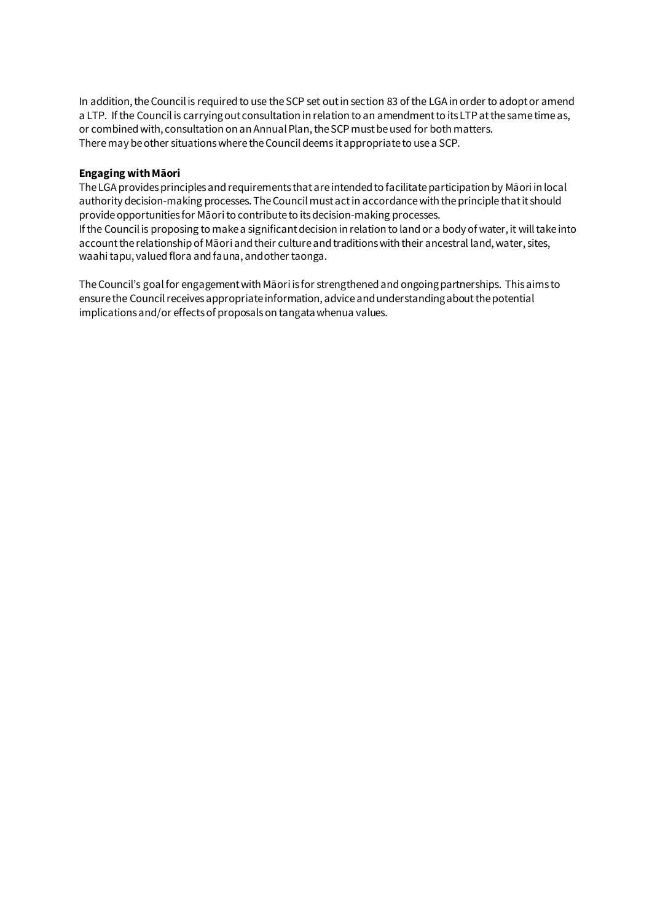In addition, the Council is required to use the SCP set out in section 83 of the LGA in order to adopt or amend a LTP. If the Council is carrying out consultation in relation to an amendment to its LTP at the same time as, or combined with, consultation on an Annual Plan, the SCP must be used for both matters. There may be other situations where the Council deems it appropriate to use a SCP.

# **Engaging with Māori**

The LGA provides principles and requirements that are intended to facilitate participation by Māori in local authority decision-making processes. The Council must act in accordance with the principle that it should provide opportunities for Māori to contribute to its decision-making processes. If the Council is proposing to make a significant decision in relation to land or a body of water, it will take into account the relationship of Māori and their culture and traditions with their ancestral land, water, sites, waahi tapu, valued flora and fauna, and other taonga.

The Council's goal for engagement with Māori is for strengthened and ongoing partnerships. This aims to ensure the Council receives appropriate information, advice and understanding about the potential implications and/or effects of proposals on tangata whenua values.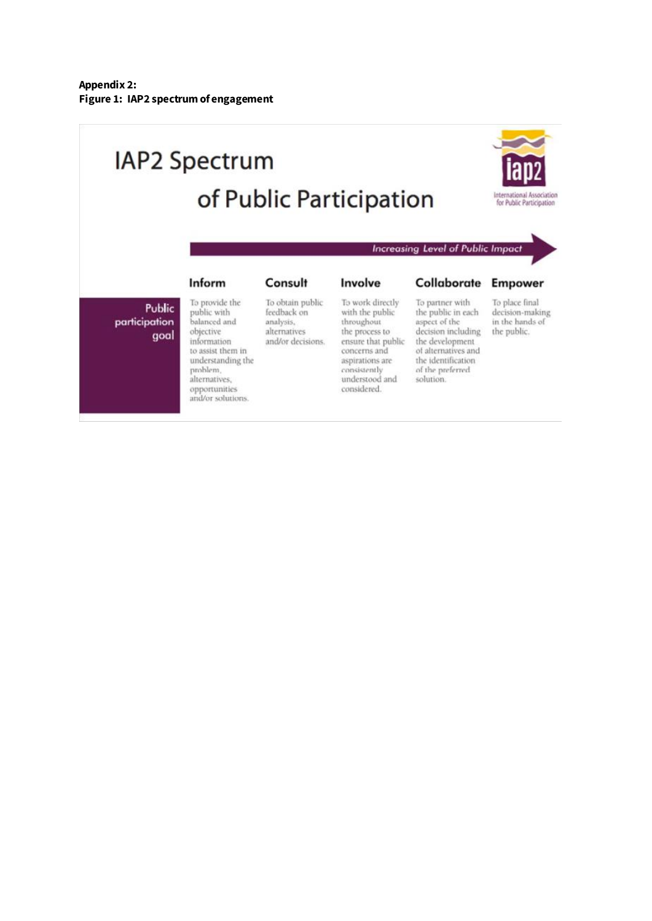# **IAP2 Spectrum** of Public Participation



**Increasing Level of Public Impact** 

# Inform

# Consult

#### Involve

Collaborate Empower

**Public** participation goal

To provide the public with feedback on balanced and analysis, objective alternatives information to assist them in understanding the problem, alternatives. opportunities<br>and/or solutions.

To obtain public To work directly with the public throughout the process to and/or decisions. ensure that public concerns and aspirations are consistently understood and considered.

To partner with the public in each aspect of the decision including the development of alternatives and the identification of the preferred solution.

To place final decision-making in the hands of the public.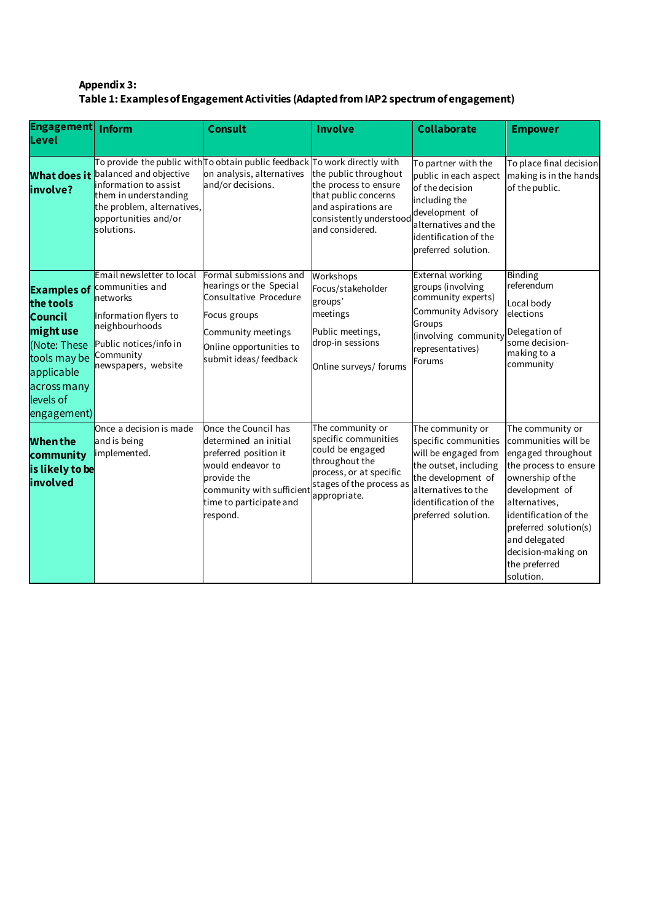# **Appendix 3: Table 1: Examples of Engagement Activities (Adapted from IAP2 spectrum of engagement)**

| Engagement<br>Level                                                                                                                                     | <b>Inform</b>                                                                                                                                                     | <b>Consult</b>                                                                                                                                                                 | <b>Involve</b>                                                                                                                                        | <b>Collaborate</b>                                                                                                                                                                     | <b>Empower</b>                                                                                                                                                                                                                                                       |
|---------------------------------------------------------------------------------------------------------------------------------------------------------|-------------------------------------------------------------------------------------------------------------------------------------------------------------------|--------------------------------------------------------------------------------------------------------------------------------------------------------------------------------|-------------------------------------------------------------------------------------------------------------------------------------------------------|----------------------------------------------------------------------------------------------------------------------------------------------------------------------------------------|----------------------------------------------------------------------------------------------------------------------------------------------------------------------------------------------------------------------------------------------------------------------|
| <b>What does it</b><br>involve?                                                                                                                         | balanced and objective<br>information to assist<br>them in understanding<br>the problem, alternatives,<br>opportunities and/or<br>solutions.                      | To provide the public with To obtain public feedback To work directly with<br>on analysis, alternatives<br>and/or decisions.                                                   | the public throughout<br>the process to ensure<br>that public concerns<br>and aspirations are<br>consistently understood<br>and considered.           | To partner with the<br>public in each aspect<br>of the decision<br>including the<br>development of<br>alternatives and the<br>identification of the<br>preferred solution.             | To place final decision<br>making is in the hands<br>of the public.                                                                                                                                                                                                  |
| <b>Examples of</b><br>the tools<br><b>Council</b><br>might use<br>(Note: These<br>tools may be<br>applicable<br>across many<br>levels of<br>engagement) | Email newsletter to local<br>communities and<br>networks<br>Information flyers to<br>neighbourhoods<br>Public notices/info in<br>Community<br>newspapers, website | Formal submissions and<br>hearings or the Special<br>Consultative Procedure<br>Focus groups<br>Community meetings<br>Online opportunities to<br>submit ideas/feedback          | Workshops<br>Focus/stakeholder<br>groups'<br>meetings<br>Public meetings,<br>drop-in sessions<br>Online surveys/ forums                               | <b>External working</b><br>groups (involving<br>community experts)<br>Community Advisory<br>Groups<br>(involving community<br>representatives)<br>Forums                               | <b>Binding</b><br>referendum<br>Local body<br>elections<br>Delegation of<br>some decision-<br>making to a<br>community                                                                                                                                               |
| <b>When the</b><br>community<br>is likely to be<br>involved                                                                                             | Once a decision is made<br>and is being<br>implemented.                                                                                                           | Once the Council has<br>determined an initial<br>preferred position it<br>would endeavor to<br>provide the<br>community with sufficient<br>time to participate and<br>respond. | The community or<br>specific communities<br>could be engaged<br>throughout the<br>process, or at specific<br>stages of the process as<br>appropriate. | The community or<br>specific communities<br>will be engaged from<br>the outset, including<br>the development of<br>alternatives to the<br>identification of the<br>preferred solution. | The community or<br>communities will be<br>engaged throughout<br>the process to ensure<br>ownership of the<br>development of<br>alternatives,<br>identification of the<br>preferred solution(s)<br>and delegated<br>decision-making on<br>the preferred<br>solution. |